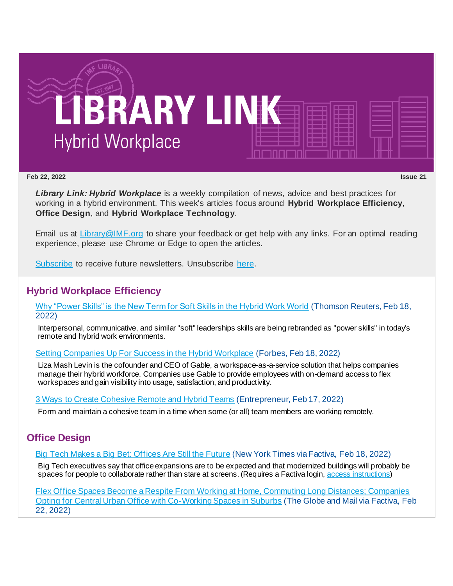

#### **Feb 22, 2022 Issue 21**

*Library Link: Hybrid Workplace* is a weekly compilation of news, advice and best practices for working in a hybrid environment. This week's articles focus around **Hybrid Workplace Efficiency**, **Office Design**, and **Hybrid Workplace Technology**.

Email us at [Library@IMF.org](mailto:Library@IMF.org) to share your feedback or get help with any links. For an optimal reading experience, please use Chrome or Edge to open the articles.

[Subscribe](http://t.imfconnect.imf.org/r/?id=h6ca12b,3371547,336f4e2&e=cDE9JTQwWlh6QTFOamNwZDAwZ0VMeWh4eHFuUUNwYVZvaWluOThSd0RMeUlhS3JsZmhVVi1UeXBhWjR5a0l2dXBhZ3NOUXVqa1lFcERYa3p4eWd1WHBvdWZ5eXRfU2o0cw&s=OIJsKWvaAa0F5Qb7gvjOobcJHNkAVs8Ptc3p0fk_zsI) to receive future newsletters. Unsubscribe [here.](http://t.imfconnect.imf.org/r/?id=h6ca12b,3371547,336f4e3&e=cDE9JTQwWlh6QTFOamNwZDAwZ0VMeWh4eHFuUUNwYVZvaWluOThSd0RMeUlhS3JsZmhVVi1UeXBhWjR5a0l2dXBhZ3NOUXVqa1lFcERYa3p4eWd1WHBvdWZ5eXRfU2o0cw&s=Nc5x-BFY5XVH12OdesO_-C7u-6E38H3Co8t1i7gVX2U)

## **Hybrid Workplace Efficiency**

[Why "Power Skills" is the New Term for Soft Skills in the Hybrid Work World](http://t.imfconnect.imf.org/r/?id=h6ca12b,3371547,336f4e4) (Thomson Reuters, Feb 18, 2022)

Interpersonal, communicative, and similar "soft" leaderships skills are being rebranded as "power skills" in today's remote and hybrid work environments.

[Setting Companies Up For Success in the Hybrid Workplace](http://t.imfconnect.imf.org/r/?id=h6ca12b,3371547,336f4e5) (Forbes, Feb 18, 2022)

Liza Mash Levin is the cofounder and CEO of Gable, a workspace-as-a-service solution that helps companies manage their hybrid workforce. Companies use Gable to provide employees with on-demand access to flex workspaces and gain visibility into usage, satisfaction, and productivity.

[3 Ways to Create Cohesive Remote and Hybrid Teams](http://t.imfconnect.imf.org/r/?id=h6ca12b,3371547,336f4e6) (Entrepreneur, Feb 17, 2022)

Form and maintain a cohesive team in a time when some (or all) team members are working remotely.

## **Office Design**

[Big Tech Makes a Big Bet: Offices Are Still the Future](http://t.imfconnect.imf.org/r/?id=h6ca12b,3371547,336f4e7) (New York Times via Factiva, Feb 18, 2022)

Big Tech executives say that office expansions are to be expected and that modernized buildings will probably be spaces for people to collaborate rather than stare at screens. (Requires a Factiva login, [access instructions](http://t.imfconnect.imf.org/r/?id=h6ca12b,3371547,336f4e8))

[Flex Office Spaces Become a Respite From Working at Home, Commuting Long Distances; Companies](http://t.imfconnect.imf.org/r/?id=h6ca12b,3371547,336f4e9)  [Opting for Central Urban Office with Co-Working Spaces in Suburbs](http://t.imfconnect.imf.org/r/?id=h6ca12b,3371547,336f4e9) (The Globe and Mail via Factiva, Feb 22, 2022)